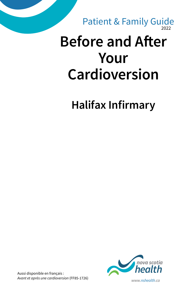2022 Patient & Family Guide

# **Before and After Your Cardioversion**

**Halifax Infirmary**



Aussi disponible en français :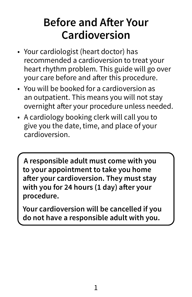## **Before and After Your Cardioversion**

- Your cardiologist (heart doctor) has recommended a cardioversion to treat your heart rhythm problem. This guide will go over your care before and after this procedure.
- You will be booked for a cardioversion as an outpatient. This means you will not stay overnight after your procedure unless needed.
- A cardiology booking clerk will call you to give you the date, time, and place of your cardioversion.

**A responsible adult must come with you to your appointment to take you home after your cardioversion. They must stay with you for 24 hours (1 day) after your procedure.**

**Your cardioversion will be cancelled if you do not have a responsible adult with you.**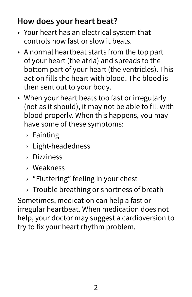#### **How does your heart beat?**

- Your heart has an electrical system that controls how fast or slow it beats.
- A normal heartbeat starts from the top part of your heart (the atria) and spreads to the bottom part of your heart (the ventricles). This action fills the heart with blood. The blood is then sent out to your body.
- When your heart beats too fast or irregularly (not as it should), it may not be able to fill with blood properly. When this happens, you may have some of these symptoms:
	- › Fainting
	- › Light-headedness
	- › Dizziness
	- › Weakness
	- › "Fluttering" feeling in your chest
	- $\rightarrow$  Trouble breathing or shortness of breath

Sometimes, medication can help a fast or irregular heartbeat. When medication does not help, your doctor may suggest a cardioversion to try to fix your heart rhythm problem.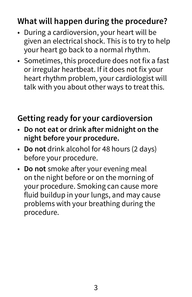#### **What will happen during the procedure?**

- During a cardioversion, your heart will be given an electrical shock. This is to try to help your heart go back to a normal rhythm.
- Sometimes, this procedure does not fix a fast or irregular heartbeat. If it does not fix your heart rhythm problem, your cardiologist will talk with you about other ways to treat this.

### **Getting ready for your cardioversion**

- **Do not eat or drink after midnight on the night before your procedure.**
- **Do not** drink alcohol for 48 hours (2 days) before your procedure.
- **Do not** smoke after your evening meal on the night before or on the morning of your procedure. Smoking can cause more fluid buildup in your lungs, and may cause problems with your breathing during the procedure.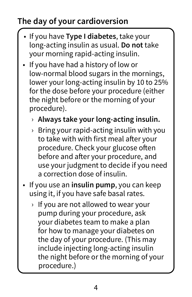### **The day of your cardioversion**

- If you have **Type I diabetes**, take your long-acting insulin as usual. **Do not** take your morning rapid-acting insulin.
- If you have had a history of low or low-normal blood sugars in the mornings, lower your long-acting insulin by 10 to 25% for the dose before your procedure (either the night before or the morning of your procedure).
	- › **Always take your long-acting insulin.**
	- $\rightarrow$  Bring your rapid-acting insulin with you to take with with first meal after your procedure. Check your glucose often before and after your procedure, and use your judgment to decide if you need a correction dose of insulin.
- If you use an **insulin pump**, you can keep using it, if you have safe basal rates.
	- › If you are not allowed to wear your pump during your procedure, ask your diabetes team to make a plan for how to manage your diabetes on the day of your procedure. (This may include injecting long-acting insulin the night before or the morning of your procedure.)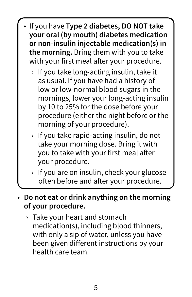- If you have **Type 2 diabetes, DO NOT take your oral (by mouth) diabetes medication or non-insulin injectable medication(s) in the morning.** Bring them with you to take with your first meal after your procedure.
	- $\rightarrow$  If you take long-acting insulin, take it as usual. If you have had a history of low or low-normal blood sugars in the mornings, lower your long-acting insulin by 10 to 25% for the dose before your procedure (either the night before or the morning of your procedure).
	- $\rightarrow$  If you take rapid-acting insulin, do not take your morning dose. Bring it with you to take with your first meal after your procedure.
	- › If you are on insulin, check your glucose often before and after your procedure.

#### • **Do not eat or drink anything on the morning of your procedure.**

› Take your heart and stomach medication(s), including blood thinners, with only a sip of water, unless you have been given different instructions by your health care team.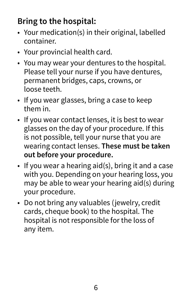#### **Bring to the hospital:**

- Your medication(s) in their original, labelled container.
- Your provincial health card.
- You may wear your dentures to the hospital. Please tell your nurse if you have dentures, permanent bridges, caps, crowns, or loose teeth.
- If you wear glasses, bring a case to keep them in.
- If you wear contact lenses, it is best to wear glasses on the day of your procedure. If this is not possible, tell your nurse that you are wearing contact lenses. **These must be taken out before your procedure.**
- If you wear a hearing aid(s), bring it and a case with you. Depending on your hearing loss, you may be able to wear your hearing aid(s) during your procedure.
- Do not bring any valuables (jewelry, credit cards, cheque book) to the hospital. The hospital is not responsible for the loss of any item.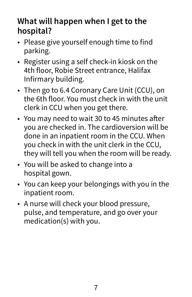#### **What will happen when I get to the hospital?**

- Please give yourself enough time to find parking.
- Register using a self check-in kiosk on the 4th floor, Robie Street entrance, Halifax Infirmary building.
- Then go to 6.4 Coronary Care Unit (CCU), on the 6th floor. You must check in with the unit clerk in CCU when you get there.
- You may need to wait 30 to 45 minutes after you are checked in. The cardioversion will be done in an inpatient room in the CCU. When you check in with the unit clerk in the CCU, they will tell you when the room will be ready.
- You will be asked to change into a hospital gown.
- You can keep your belongings with you in the inpatient room.
- A nurse will check your blood pressure, pulse, and temperature, and go over your medication(s) with you.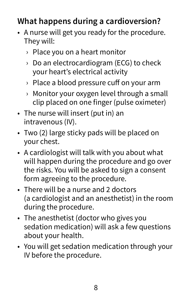#### **What happens during a cardioversion?**

- A nurse will get you ready for the procedure. They will:
	- › Place you on a heart monitor
	- › Do an electrocardiogram (ECG) to check your heart's electrical activity
	- › Place a blood pressure cuff on your arm
	- › Monitor your oxygen level through a small clip placed on one finger (pulse oximeter)
- The nurse will insert (put in) an intravenous (IV).
- Two (2) large sticky pads will be placed on your chest.
- A cardiologist will talk with you about what will happen during the procedure and go over the risks. You will be asked to sign a consent form agreeing to the procedure.
- There will be a nurse and 2 doctors (a cardiologist and an anesthetist) in the room during the procedure.
- The anesthetist (doctor who gives you sedation medication) will ask a few questions about your health.
- You will get sedation medication through your IV before the procedure.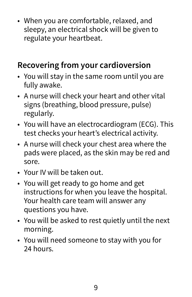• When you are comfortable, relaxed, and sleepy, an electrical shock will be given to regulate your heartbeat.

#### **Recovering from your cardioversion**

- You will stay in the same room until you are fully awake.
- A nurse will check your heart and other vital signs (breathing, blood pressure, pulse) regularly.
- You will have an electrocardiogram (ECG). This test checks your heart's electrical activity.
- A nurse will check your chest area where the pads were placed, as the skin may be red and sore.
- Your IV will be taken out.
- You will get ready to go home and get instructions for when you leave the hospital. Your health care team will answer any questions you have.
- You will be asked to rest quietly until the next morning.
- You will need someone to stay with you for 24 hours.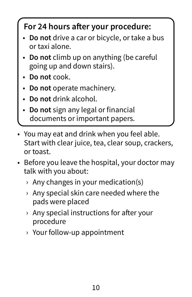#### **For 24 hours after your procedure:**

- **Do not** drive a car or bicycle, or take a bus or taxi alone.
- **Do not** climb up on anything (be careful going up and down stairs).
- **Do not** cook.
- **Do not** operate machinery.
- **Do not** drink alcohol.
- **Do not** sign any legal or financial documents or important papers.
- You may eat and drink when you feel able. Start with clear juice, tea, clear soup, crackers, or toast.
- Before you leave the hospital, your doctor may talk with you about:
	- $\rightarrow$  Any changes in your medication(s)
	- › Any special skin care needed where the pads were placed
	- › Any special instructions for after your procedure
	- › Your follow-up appointment